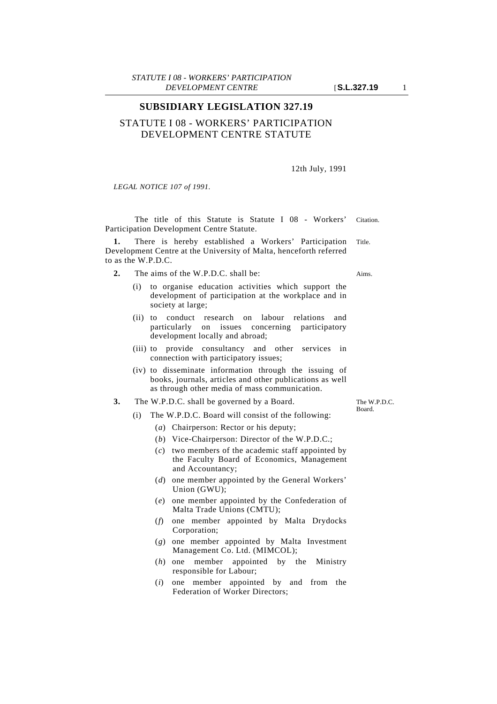## STATUTE I 08 - WORKERS' PARTICIPATION DEVELOPMENT CENTRE STATUTE

## 12th July, 1991

*LEGAL NOTICE 107 of 1991.*

The title of this Statute is Statute I 08 - Workers' Citation. Participation Development Centre Statute.

**1.** There is hereby established a Workers' Participation Title. Development Centre at the University of Malta, henceforth referred to as the W.P.D.C.

- **2.** The aims of the W.P.D.C. shall be: Aims.
	- (i) to organise education activities which support the development of participation at the workplace and in society at large;
	- (ii) to conduct research on labour relations and particularly on issues concerning participatory development locally and abroad;
	- (iii) to provide consultancy and other services in connection with participatory issues;
	- (iv) to disseminate information through the issuing of books, journals, articles and other publications as well as through other media of mass communication.
- **3.** The W.P.D.C. shall be governed by a Board.
	- (i) The W.P.D.C. Board will consist of the following:
		- (*a*) Chairperson: Rector or his deputy;
		- (*b*) Vice-Chairperson: Director of the W.P.D.C.;
		- (*c*) two members of the academic staff appointed by the Faculty Board of Economics, Management and Accountancy;
		- (*d*) one member appointed by the General Workers' Union (GWU);
		- (*e*) one member appointed by the Confederation of Malta Trade Unions (CMTU);
		- (*f*) one member appointed by Malta Drydocks Corporation;
		- (*g*) one member appointed by Malta Investment Management Co. Ltd. (MIMCOL);
		- (*h*) one member appointed by the Ministry responsible for Labour;
		- (*i*) one member appointed by and from the Federation of Worker Directors;

The W.P.D.C. Board.